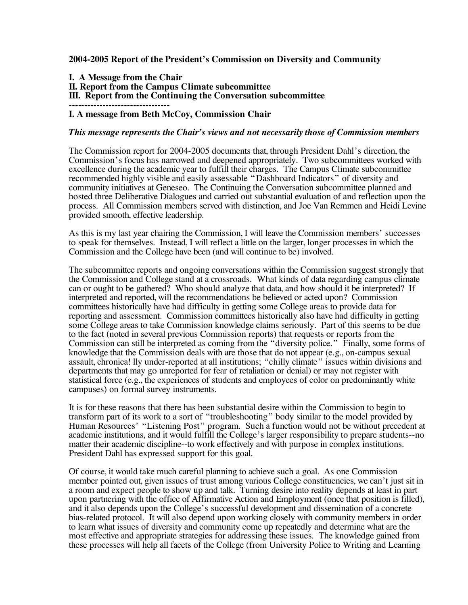**2004-2005 Report of the President's Commission on Diversity and Community**

**I. A Message from the Chair II. Report from the Campus Climate subcommittee III. Report from the Continuing the Conversation subcommittee ---------------------------------**

#### **I. A message from Beth McCoy, Commission Chair**

#### *This message represents the Chair's views and not necessarily those of Commission members*

The Commission report for 2004-2005 documents that, through President Dahl's direction, the Commission's focus has narrowed and deepened appropriately. Two subcommittees worked with excellence during the academic year to fulfill their charges. The Campus Climate subcommittee recommended highly visible and easily assessable "Dashboard Indicators" of diversity and community initiatives at Geneseo. The Continuing the Conversation subcommittee planned and hosted three Deliberative Dialogues and carried out substantial evaluation of and reflection upon the process. All Commission members served with distinction, and Joe Van Remmen and Heidi Levine provided smooth, effective leadership.

As this is my last year chairing the Commission, I will leave the Commission members' successes to speak for themselves. Instead, I will reflect a little on the larger, longer processes in which the Commission and the College have been (and will continue to be) involved.

The subcommittee reports and ongoing conversations within the Commission suggest strongly that the Commission and College stand at a crossroads. What kinds of data regarding campus climate can or ought to be gathered? Who should analyze that data, and how should it be interpreted? If interpreted and reported, will the recommendations be believed or acted upon? Commission committees historically have had difficulty in getting some College areas to provide data for reporting and assessment. Commission committees historically also have had difficulty in getting some College areas to take Commission knowledge claims seriously. Part of this seems to be due to the fact (noted in several previous Commission reports) that requests or reports from the Commission can still be interpreted as coming from the "diversity police." Finally, some forms of knowledge that the Commission deals with are those that do not appear (e.g., on-campus sexual assault, chronica! lly under-reported at all institutions; "chilly climate" issues within divisions and departments that may go unreported for fear of retaliation or denial) or may not register with statistical force (e.g., the experiences of students and employees of color on predominantly white campuses) on formal survey instruments.

It is for these reasons that there has been substantial desire within the Commission to begin to transform part of its work to a sort of "troubleshooting" body similar to the model provided by Human Resources' "Listening Post" program. Such a function would not be without precedent at academic institutions, and it would fulfill the College's larger responsibility to prepare students--no matter their academic discipline--to work effectively and with purpose in complex institutions. President Dahl has expressed support for this goal.

Of course, it would take much careful planning to achieve such a goal. As one Commission member pointed out, given issues of trust among various College constituencies, we can't just sit in a room and expect people to show up and talk. Turning desire into reality depends at least in part upon partnering with the office of Affirmative Action and Employment (once that position is filled), and it also depends upon the College's successful development and dissemination of a concrete bias-related protocol. It will also depend upon working closely with community members in order to learn what issues of diversity and community come up repeatedly and determine what are the most effective and appropriate strategies for addressing these issues. The knowledge gained from these processes will help all facets of the College (from University Police to Writing and Learning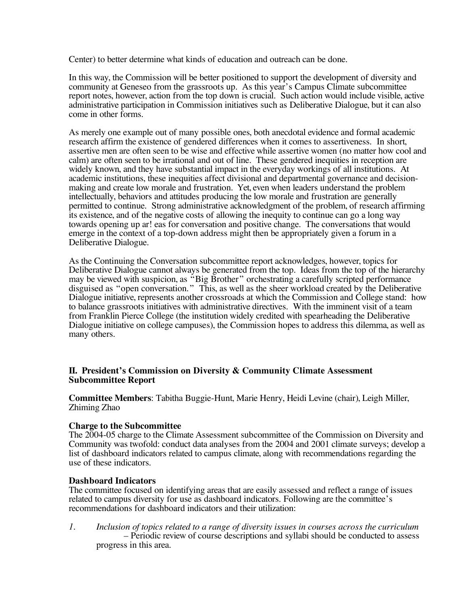Center) to better determine what kinds of education and outreach can be done.

In this way, the Commission will be better positioned to support the development of diversity and community at Geneseo from the grassroots up. As this year's Campus Climate subcommittee report notes, however, action from the top down is crucial. Such action would include visible, active administrative participation in Commission initiatives such as Deliberative Dialogue, but it can also come in other forms.

As merely one example out of many possible ones, both anecdotal evidence and formal academic research affirm the existence of gendered differences when it comes to assertiveness. In short, assertive men are often seen to be wise and effective while assertive women (no matter how cool and calm) are often seen to be irrational and out of line. These gendered inequities in reception are widely known, and they have substantial impact in the everyday workings of all institutions. At academic institutions, these inequities affect divisional and departmental governance and decisionmaking and create low morale and frustration. Yet, even when leaders understand the problem intellectually, behaviors and attitudes producing the low morale and frustration are generally permitted to continue. Strong administrative acknowledgment of the problem, of research affirming its existence, and of the negative costs of allowing the inequity to continue can go a long way towards opening up ar! eas for conversation and positive change. The conversations that would emerge in the context of a top-down address might then be appropriately given a forum in a Deliberative Dialogue.

As the Continuing the Conversation subcommittee report acknowledges, however, topics for Deliberative Dialogue cannot always be generated from the top. Ideas from the top of the hierarchy may be viewed with suspicion, as "Big Brother" orchestrating a carefully scripted performance disguised as "open conversation." This, as well as the sheer workload created by the Deliberative Dialogue initiative, represents another crossroads at which the Commission and College stand: how to balance grassroots initiatives with administrative directives. With the imminent visit of a team from Franklin Pierce College (the institution widely credited with spearheading the Deliberative Dialogue initiative on college campuses), the Commission hopes to address this dilemma, as well as many others.

# **II. President's Commission on Diversity & Community Climate Assessment Subcommittee Report**

**Committee Members**: Tabitha Buggie-Hunt, Marie Henry, Heidi Levine (chair), Leigh Miller, Zhiming Zhao

# **Charge to the Subcommittee**

The 2004-05 charge to the Climate Assessment subcommittee of the Commission on Diversity and Community was twofold: conduct data analyses from the 2004 and 2001 climate surveys; develop a list of dashboard indicators related to campus climate, along with recommendations regarding the use of these indicators.

#### **Dashboard Indicators**

The committee focused on identifying areas that are easily assessed and reflect a range of issues related to campus diversity for use as dashboard indicators. Following are the committee's recommendations for dashboard indicators and their utilization:

*1. Inclusion of topics related to a range of diversity issues in courses across the curriculum –* Periodic review of course descriptions and syllabi should be conducted to assess progress in this area.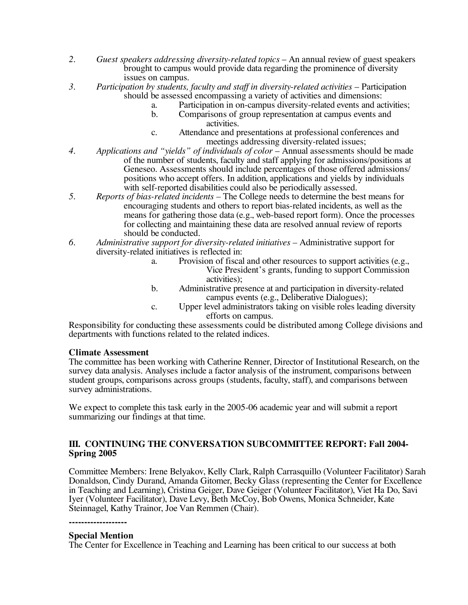- *2. Guest speakers addressing diversity-related topics* An annual review of guest speakers brought to campus would provide data regarding the prominence of diversity issues on campus.
- *3. Participation by students, faculty and staff in diversity*-*related activities* Participation should be assessed encompassing a variety of activities and dimensions:
	- a. Participation in on-campus diversity-related events and activities;<br>b. Comparisons of group representation at campus events and
	- b. Comparisons of group representation at campus events and activities.
	- c. Attendance and presentations at professional conferences and meetings addressing diversity-related issues;
- *4. Applications and "yields" of individuals of color* Annual assessments should be made of the number of students, faculty and staff applying for admissions/positions at Geneseo. Assessments should include percentages of those offered admissions/ positions who accept offers. In addition, applications and yields by individuals with self-reported disabilities could also be periodically assessed.
- *5. Reports of bias-related incidents –* The College needs to determine the best means for encouraging students and others to report bias-related incidents, as well as the means for gathering those data (e.g., web-based report form). Once the processes for collecting and maintaining these data are resolved annual review of reports
- should be conducted. *6. Administrative support for diversity-related initiatives –* Administrative support for diversity-related initiatives is reflected in:
	- a. Provision of fiscal and other resources to support activities (e.g., Vice President's grants, funding to support Commission activities);
	- b. Administrative presence at and participation in diversity-related campus events (e.g., Deliberative Dialogues);
	- c. Upper level administrators taking on visible roles leading diversity

Responsibility for conducting these assessments could be distributed among College divisions and departments with functions related to the related indices.

#### **Climate Assessment**

The committee has been working with Catherine Renner, Director of Institutional Research, on the survey data analysis. Analyses include a factor analysis of the instrument, comparisons between student groups, comparisons across groups (students, faculty, staff), and comparisons between survey administrations.

We expect to complete this task early in the 2005-06 academic year and will submit a report summarizing our findings at that time.

# **III. CONTINUING THE CONVERSATION SUBCOMMITTEE REPORT: Fall 2004- Spring 2005**

Committee Members: Irene Belyakov, Kelly Clark, Ralph Carrasquillo (Volunteer Facilitator) Sarah Donaldson, Cindy Durand, Amanda Gitomer, Becky Glass (representing the Center for Excellence in Teaching and Learning), Cristina Geiger, Dave Geiger (Volunteer Facilitator), Viet Ha Do, Savi Iyer (Volunteer Facilitator), Dave Levy, Beth McCoy, Bob Owens, Monica Schneider, Kate Steinnagel, Kathy Trainor, Joe Van Remmen (Chair).

**-------------------**

### **Special Mention**

The Center for Excellence in Teaching and Learning has been critical to our success at both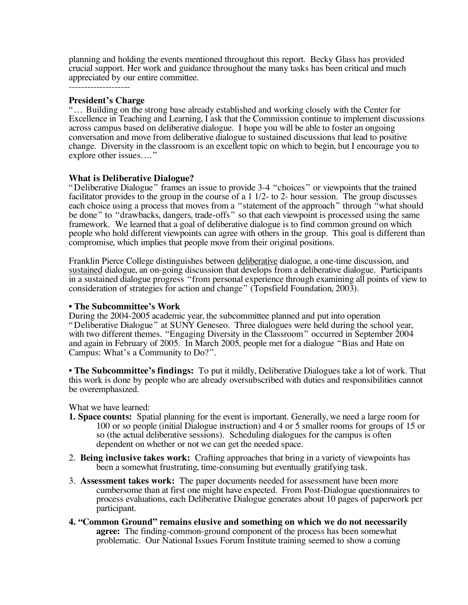planning and holding the events mentioned throughout this report. Becky Glass has provided crucial support. Her work and guidance throughout the many tasks has been critical and much appreciated by our entire committee. --------------------

#### **President's Charge**

"… Building on the strong base already established and working closely with the Center for Excellence in Teaching and Learning, I ask that the Commission continue to implement discussions across campus based on deliberative dialogue. I hope you will be able to foster an ongoing conversation and move from deliberative dialogue to sustained discussions that lead to positive change. Diversity in the classroom is an excellent topic on which to begin, but I encourage you to explore other issues…."

# **What is Deliberative Dialogue?**

"Deliberative Dialogue" frames an issue to provide 3-4 "choices " or viewpoints that the trained facilitator provides to the group in the course of a 1 1/2- to 2- hour session. The group discusses each choice using a process that moves from a "statement of the approach" through "what should be done" to "drawbacks, dangers, trade-offs" so that each viewpoint is processed using the same framework. We learned that a goal of deliberative dialogue is to find common ground on which people who hold different viewpoints can agree with others in the group. This goal is different than compromise, which implies that people move from their original positions.

Franklin Pierce College distinguishes between deliberative dialogue, a one-time discussion, and sustained dialogue, an on-going discussion that develops from a deliberative dialogue. Participants in a sustained dialogue progress "from personal experience through examining all points of view to consideration of strategies for action and change" (Topsfield Foundation, 2003).

**• The Subcommittee's Work** "Deliberative Dialogue" at SUNY Geneseo. Three dialogues were held during the school year, with two different themes. "Engaging Diversity in the Classroom" occurred in September 2004 and again in February of 2005. In March 2005, people met for a dialogue "Bias and Hate on Campus: What's a Community to Do?".

**• The Subcommittee's findings:** To put it mildly, Deliberative Dialogues take a lot of work. That this work is done by people who are already oversubscribed with duties and responsibilities cannot be overemphasized.

What we have learned:

- **1. Space counts:** Spatial planning for the event is important. Generally, we need a large room for 100 or so people (initial Dialogue instruction) and 4 or 5 smaller rooms for groups of 15 or so (the actual deliberative sessions). Scheduling dialogues for the campus is often dependent on whether or not we can get the needed space.
- 2. **Being inclusive takes work:** Crafting approaches that bring in a variety of viewpoints has been a somewhat frustrating, time-consuming but eventually gratifying task.
- 3. **Assessment takes work:** The paper documents needed for assessment have been more cumbersome than at first one might have expected. From Post-Dialogue questionnaires to process evaluations, each Deliberative Dialogue generates about 10 pages of paperwork per participant.
- **4. "Common Ground" remains elusive and something on which we do not necessarily agree:** The finding-common-ground component of the process has been somewhat problematic. Our National Issues Forum Institute training seemed to show a coming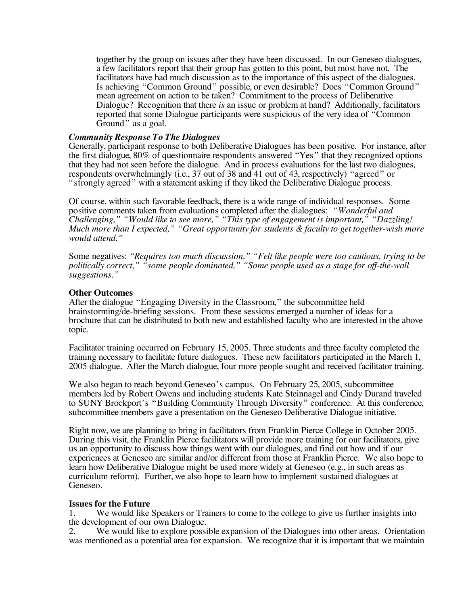together by the group on issues after they have been discussed. In our Geneseo dialogues, a few facilitators report that their group has gotten to this point, but most have not. The facilitators have had much discussion as to the importance of this aspect of the dialogues. Is achieving "Common Ground" possible, or even desirable? Does "Common Ground" mean agreement on action to be taken? Commitment to the process of Deliberative Dialogue? Recognition that there *is* an issue or problem at hand? Additionally, facilitators reported that some Dialogue participants were suspicious of the very idea of "Common Ground" as a goal.

### *Community Response To The Dialogues*

Generally, participant response to both Deliberative Dialogues has been positive. For instance, after the first dialogue, 80% of questionnaire respondents answered "Yes" that they recognized options that they had not seen before the dialogue. And in process evaluations for the last two dialogues, respondents overwhelmingly (i.e., 37 out of 38 and 41 out of 43, respectively) "agreed" or " strongly agreed" with a statement asking if they liked the Deliberative Dialogue process.

Of course, within such favorable feedback, there is a wide range of individual responses. Some positive comments taken from evaluations completed after the dialogues: *"Wonderful and Challenging," "Would like to see more," "This type of engagement is important," "Dazzling! Much more than I expected," "Great opportunity for students & faculty to get together-wish more would attend."*

Some negatives: *"Requires too much discussion," "Felt like people were too cautious, trying to be politically correct," "some people dominated," "Some people used as a stage for off-the-wall suggestions."*

#### **Other Outcomes**

After the dialogue "Engaging Diversity in the Classroom," the subcommittee held brainstorming/de-briefing sessions. From these sessions emerged a number of ideas for a brochure that can be distributed to both new and established faculty who are interested in the above topic.

Facilitator training occurred on February 15, 2005. Three students and three faculty completed the training necessary to facilitate future dialogues. These new facilitators participated in the March 1, 2005 dialogue. After the March dialogue, four more people sought and received facilitator training.

We also began to reach beyond Geneseo's campus. On February 25, 2005, subcommittee members led by Robert Owens and including students Kate Steinnagel and Cindy Durand traveled to SUNY Brockport's "Building Community Through Diversity" conference. At this conference, subcommittee members gave a presentation on the Geneseo Deliberative Dialogue initiative.

Right now, we are planning to bring in facilitators from Franklin Pierce College in October 2005. During this visit, the Franklin Pierce facilitators will provide more training for our facilitators, give us an opportunity to discuss how things went with our dialogues, and find out how and if our experiences at Geneseo are similar and/or different from those at Franklin Pierce. We also hope to learn how Deliberative Dialogue might be used more widely at Geneseo (e.g., in such areas as curriculum reform). Further, we also hope to learn how to implement sustained dialogues at Geneseo.

# **Issues for the Future**

We would like Speakers or Trainers to come to the college to give us further insights into the development of our own Dialogue.<br>2. We would like to explore possi

We would like to explore possible expansion of the Dialogues into other areas. Orientation was mentioned as a potential area for expansion. We recognize that it is important that we maintain